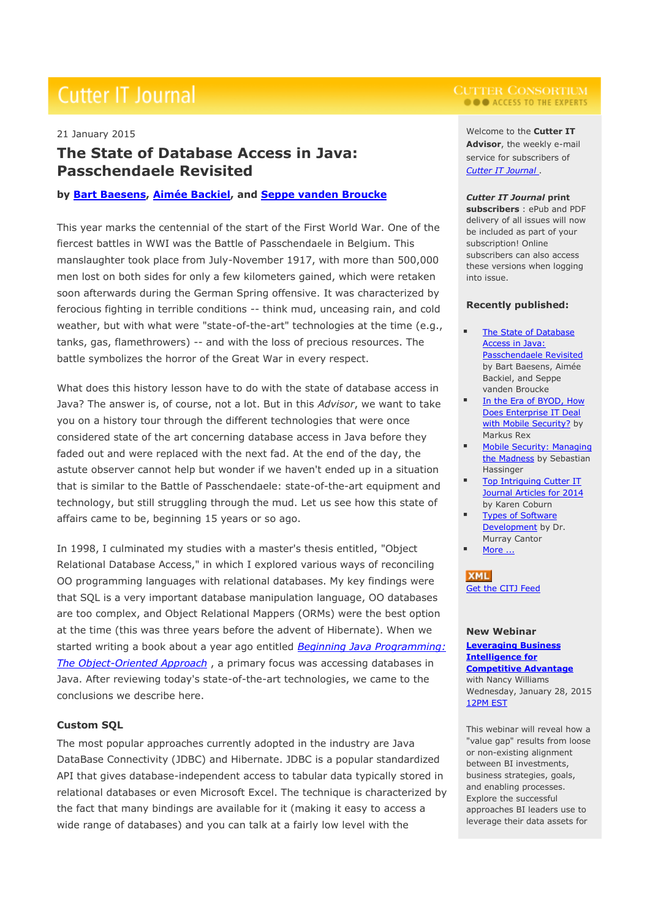# **Cutter IT Journal**

# 21 January 2015

# **The State of Database Access in Java: Passchendaele Revisited**

# **by Bart [Baesens,](http://www.cutter.com/about-cutter/coaches-facilitators-contributors.html#baesensb) Aimée [Backiel,](http://www.cutter.com/about-cutter/coaches-facilitators-contributors.html#backiela) and Seppe vanden [Broucke](http://www.cutter.com/about-cutter/coaches-facilitators-contributors.html#vandenbrouckes)**

This year marks the centennial of the start of the First World War. One of the fiercest battles in WWI was the Battle of Passchendaele in Belgium. This manslaughter took place from July-November 1917, with more than 500,000 men lost on both sides for only a few kilometers gained, which were retaken soon afterwards during the German Spring offensive. It was characterized by ferocious fighting in terrible conditions -- think mud, unceasing rain, and cold weather, but with what were "state-of-the-art" technologies at the time (e.g., tanks, gas, flamethrowers) -- and with the loss of precious resources. The battle symbolizes the horror of the Great War in every respect.

What does this history lesson have to do with the state of database access in Java? The answer is, of course, not a lot. But in this *Advisor*, we want to take you on a history tour through the different technologies that were once considered state of the art concerning database access in Java before they faded out and were replaced with the next fad. At the end of the day, the astute observer cannot help but wonder if we haven't ended up in a situation that is similar to the Battle of Passchendaele: state-of-the-art equipment and technology, but still struggling through the mud. Let us see how this state of affairs came to be, beginning 15 years or so ago.

In 1998, I culminated my studies with a master's thesis entitled, "Object Relational Database Access," in which I explored various ways of reconciling OO programming languages with relational databases. My key findings were that SQL is a very important database manipulation language, OO databases are too complex, and Object Relational Mappers (ORMs) were the best option at the time (this was three years before the advent of Hibernate). When we started writing a book about a year ago entitled *Beginning Java [Programming:](http://www.amazon.com/Beginning-Java-Programming-Object-Oriented-Approach/dp/1118739493/cutterinformatco) The [Object-Oriented](http://www.amazon.com/Beginning-Java-Programming-Object-Oriented-Approach/dp/1118739493/cutterinformatco) Approach* , a primary focus was accessing databases in Java. After reviewing today's state-of-the-art technologies, we came to the conclusions we describe here.

# **Custom SQL**

The most popular approaches currently adopted in the industry are Java DataBase Connectivity (JDBC) and Hibernate. JDBC is a popular standardized API that gives database-independent access to tabular data typically stored in relational databases or even Microsoft Excel. The technique is characterized by the fact that many bindings are available for it (making it easy to access a wide range of databases) and you can talk at a fairly low level with the

# **O O** ACCESS TO THE EXPERTS

Welcome to the **Cutter IT Advisor**, the weekly e-mail service for subscribers of *Cutter IT [Journal](http://www.cutter.com/itjournal.html?utm_source=newsletter_itj&utm_medium=email&utm_campaign=just_published)* .

#### *Cutter IT Journal* **print**

**subscribers** : ePub and PDF delivery of all issues will now be included as part of your subscription! Online subscribers can also access these versions when logging into issue.

### **Recently published:**

- The State of [Database](http://www.cutter.com/content/itjournal/fulltext/advisor/2015/itj150121.html) [Access](http://www.cutter.com/content/itjournal/fulltext/advisor/2015/itj150121.html) in Java: [Passchendaele](http://www.cutter.com/content/itjournal/fulltext/advisor/2015/itj150121.html) Revisited by Bart Baesens, Aimée Backiel, and Seppe vanden Broucke
- **I** In the Era of [BYOD,](http://www.cutter.com/content/itjournal/fulltext/advisor/2015/itj150114.html) How Does [Enterprise](http://www.cutter.com/content/itjournal/fulltext/advisor/2015/itj150114.html) IT Deal with Mobile [Security?](http://www.cutter.com/content/itjournal/fulltext/advisor/2015/itj150114.html) by Markus Rex
- **Mobile Security: [Managing](http://www.cutter.com/content/itjournal/fulltext/advisor/2015/itj150107.html)** the [Madness](http://www.cutter.com/content/itjournal/fulltext/advisor/2015/itj150107.html) by Sebastian Hassinger
- Top [Intriguing](http://www.cutter.com/content/itjournal/fulltext/advisor/2014/itj141231.html) Cutter IT Journal [Articles](http://www.cutter.com/content/itjournal/fulltext/advisor/2014/itj141231.html) for 2014 by Karen Coburn
- Types of [Software](http://www.cutter.com/content/itjournal/fulltext/advisor/2014/itj141224.html) [Development](http://www.cutter.com/content/itjournal/fulltext/advisor/2014/itj141224.html) by Dr. Murray Cantor
- [More](http://www.cutter.com/index/itjournal.html) ...

**XML** Get the CITJ [Feed](http://feeds.feedburner.com/CutterITJournal)

## **New Webinar [Leveraging](http://www.cutter.com/events/multimedia/leveragingbi.html) Business [Intelligence](http://www.cutter.com/events/multimedia/leveragingbi.html) for [Competitive](http://www.cutter.com/events/multimedia/leveragingbi.html) Advantage** with Nancy Williams Wednesday, January 28, 2015 [12PM](http://timeanddate.com/s/2rnu) EST

This webinar will reveal how a "value gap" results from loose or non-existing alignment between BI investments, business strategies, goals, and enabling processes. Explore the successful approaches BI leaders use to leverage their data assets for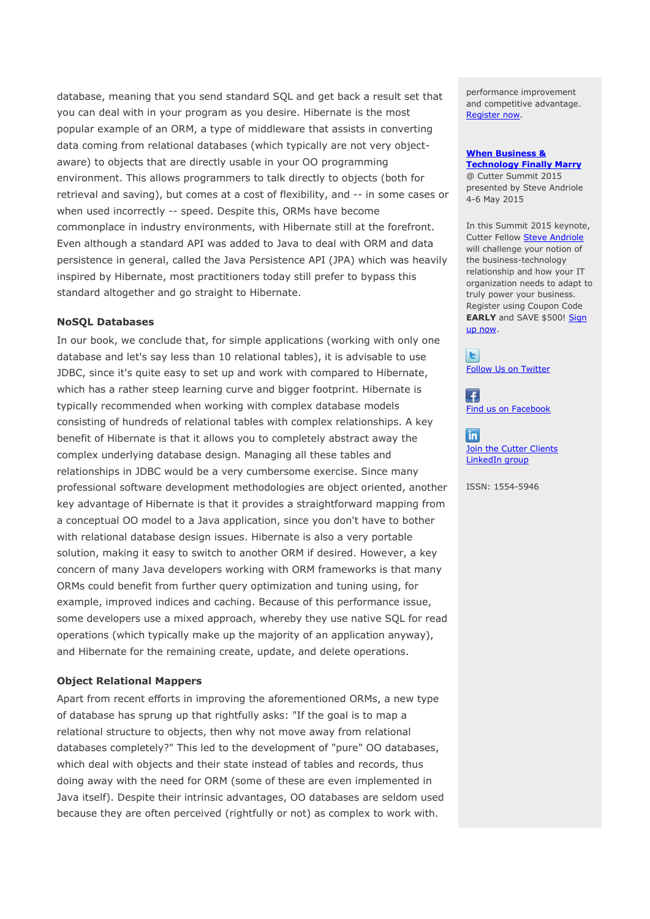database, meaning that you send standard SQL and get back a result set that you can deal with in your program as you desire. Hibernate is the most popular example of an ORM, a type of middleware that assists in converting data coming from relational databases (which typically are not very objectaware) to objects that are directly usable in your OO programming environment. This allows programmers to talk directly to objects (both for retrieval and saving), but comes at a cost of flexibility, and -- in some cases or when used incorrectly -- speed. Despite this, ORMs have become commonplace in industry environments, with Hibernate still at the forefront. Even although a standard API was added to Java to deal with ORM and data persistence in general, called the Java Persistence API (JPA) which was heavily inspired by Hibernate, most practitioners today still prefer to bypass this standard altogether and go straight to Hibernate.

# **NoSQL Databases**

In our book, we conclude that, for simple applications (working with only one database and let's say less than 10 relational tables), it is advisable to use JDBC, since it's quite easy to set up and work with compared to Hibernate, which has a rather steep learning curve and bigger footprint. Hibernate is typically recommended when working with complex database models consisting of hundreds of relational tables with complex relationships. A key benefit of Hibernate is that it allows you to completely abstract away the complex underlying database design. Managing all these tables and relationships in JDBC would be a very cumbersome exercise. Since many professional software development methodologies are object oriented, another key advantage of Hibernate is that it provides a straightforward mapping from a conceptual OO model to a Java application, since you don't have to bother with relational database design issues. Hibernate is also a very portable solution, making it easy to switch to another ORM if desired. However, a key concern of many Java developers working with ORM frameworks is that many ORMs could benefit from further query optimization and tuning using, for example, improved indices and caching. Because of this performance issue, some developers use a mixed approach, whereby they use native SQL for read operations (which typically make up the majority of an application anyway), and Hibernate for the remaining create, update, and delete operations.

# **Object Relational Mappers**

Apart from recent efforts in improving the aforementioned ORMs, a new type of database has sprung up that rightfully asks: "If the goal is to map a relational structure to objects, then why not move away from relational databases completely?" This led to the development of "pure" OO databases, which deal with objects and their state instead of tables and records, thus doing away with the need for ORM (some of these are even implemented in Java itself). Despite their intrinsic advantages, OO databases are seldom used because they are often perceived (rightfully or not) as complex to work with.

performance improvement and competitive advantage. [Register](https://events-na3.adobeconnect.com/content/connect/c1/752132433/en/events/event/shared/1397201232/event_registration.html?sco-id=1468823682%20) now.

# **When [Business](http://www.cutter.com/summit/2015/schedule.html#andrioles) & [Technology](http://www.cutter.com/summit/2015/schedule.html#andrioles) Finally Marry**

@ Cutter Summit 2015 presented by Steve Andriole 4-6 May 2015

In this Summit 2015 keynote, Cutter Fellow **Steve [Andriole](http://www.cutter.com/meet-our-experts/sabio.html)** will challenge your notion of the business-technology relationship and how your IT organization needs to adapt to truly power your business. Register using Coupon Code **EARLY** and SAVE \$500! [Sign](http://bookstore.cutter.com/product/summit-2015/) up [now.](http://bookstore.cutter.com/product/summit-2015/)

 $\vert$  E  $\vert$ Follow Us on [Twitter](http://twitter.com/cuttertweets)

E. Find us on [Facebook](http://www.facebook.com/pages/Cutter-Consortium/36601118302)

 $\overline{\ln}$ **Join the Cutter [Clients](http://www.linkedin.com/groups/Cutter-Consortium-Clients-4917768/about)** [LinkedIn](http://www.linkedin.com/groups/Cutter-Consortium-Clients-4917768/about) group

```
ISSN: 1554-5946
```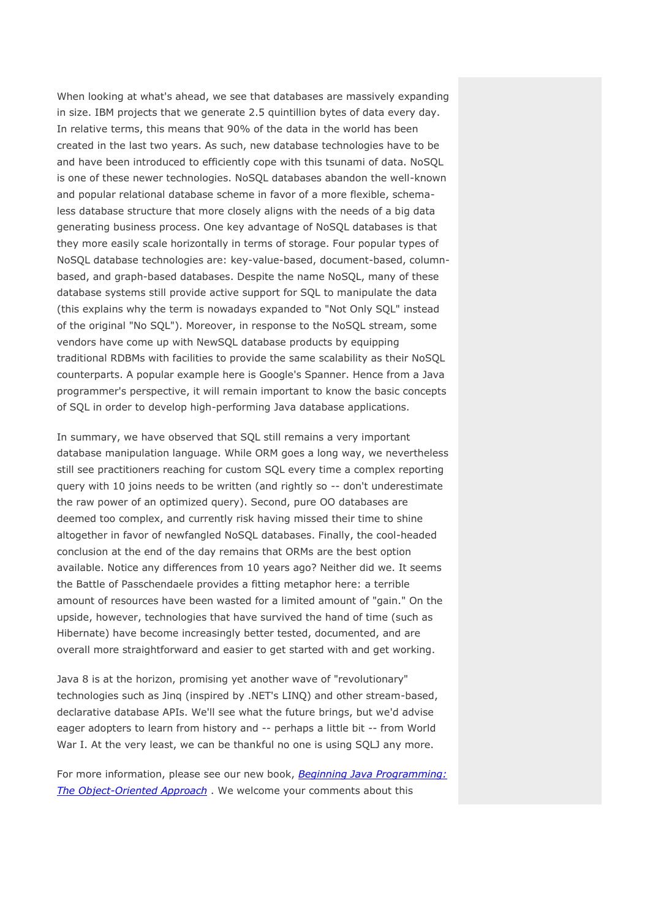When looking at what's ahead, we see that databases are massively expanding in size. IBM projects that we generate 2.5 quintillion bytes of data every day. In relative terms, this means that 90% of the data in the world has been created in the last two years. As such, new database technologies have to be and have been introduced to efficiently cope with this tsunami of data. NoSQL is one of these newer technologies. NoSQL databases abandon the well-known and popular relational database scheme in favor of a more flexible, schemaless database structure that more closely aligns with the needs of a big data generating business process. One key advantage of NoSQL databases is that they more easily scale horizontally in terms of storage. Four popular types of NoSQL database technologies are: key-value-based, document-based, columnbased, and graph-based databases. Despite the name NoSQL, many of these database systems still provide active support for SQL to manipulate the data (this explains why the term is nowadays expanded to "Not Only SQL" instead of the original "No SQL"). Moreover, in response to the NoSQL stream, some vendors have come up with NewSQL database products by equipping traditional RDBMs with facilities to provide the same scalability as their NoSQL counterparts. A popular example here is Google's Spanner. Hence from a Java programmer's perspective, it will remain important to know the basic concepts of SQL in order to develop high-performing Java database applications.

In summary, we have observed that SQL still remains a very important database manipulation language. While ORM goes a long way, we nevertheless still see practitioners reaching for custom SQL every time a complex reporting query with 10 joins needs to be written (and rightly so -- don't underestimate the raw power of an optimized query). Second, pure OO databases are deemed too complex, and currently risk having missed their time to shine altogether in favor of newfangled NoSQL databases. Finally, the cool-headed conclusion at the end of the day remains that ORMs are the best option available. Notice any differences from 10 years ago? Neither did we. It seems the Battle of Passchendaele provides a fitting metaphor here: a terrible amount of resources have been wasted for a limited amount of "gain." On the upside, however, technologies that have survived the hand of time (such as Hibernate) have become increasingly better tested, documented, and are overall more straightforward and easier to get started with and get working.

Java 8 is at the horizon, promising yet another wave of "revolutionary" technologies such as Jinq (inspired by .NET's LINQ) and other stream-based, declarative database APIs. We'll see what the future brings, but we'd advise eager adopters to learn from history and -- perhaps a little bit -- from World War I. At the very least, we can be thankful no one is using SQLJ any more.

For more information, please see our new book, *Beginning Java [Programming:](http://www.amazon.com/Beginning-Java-Programming-Object-Oriented-Approach/dp/1118739493/cutterinformatco) The [Object-Oriented](http://www.amazon.com/Beginning-Java-Programming-Object-Oriented-Approach/dp/1118739493/cutterinformatco) Approach* . We welcome your comments about this